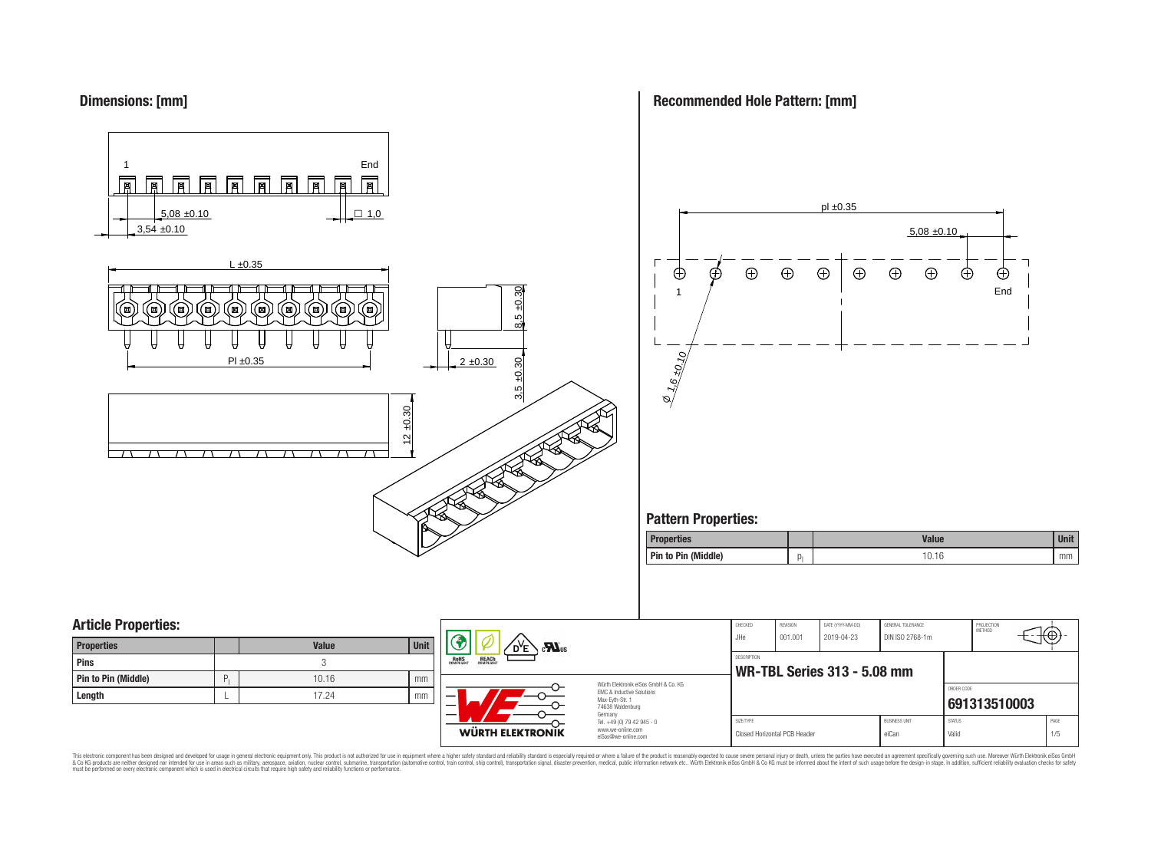## **Dimensions: [mm]**

**Recommended Hole Pattern: [mm]**

SIZE/TYPE BUSINESS UNIT STATUS PAGE Closed Horizontal PCB Header **Example 2018** eiCan Valid Valid Valid 1/5

⊕



**WÜRTH ELEKTRONIK** 

#### This electronic component has been designed and developed for usage in general electronic equipment only. This product is not authorized for use in equipment where a higher safely standard and reliability standard si espec & Ook product a label and the membed of the seasuch as marked and as which such a membed and the such assume that income in the seasuch and the simulation and the such assume that include to the such a membed and the such

Germany Tel. +49 (0) 79 42 945 - 0 www.we-online.com eiSos@we-online.com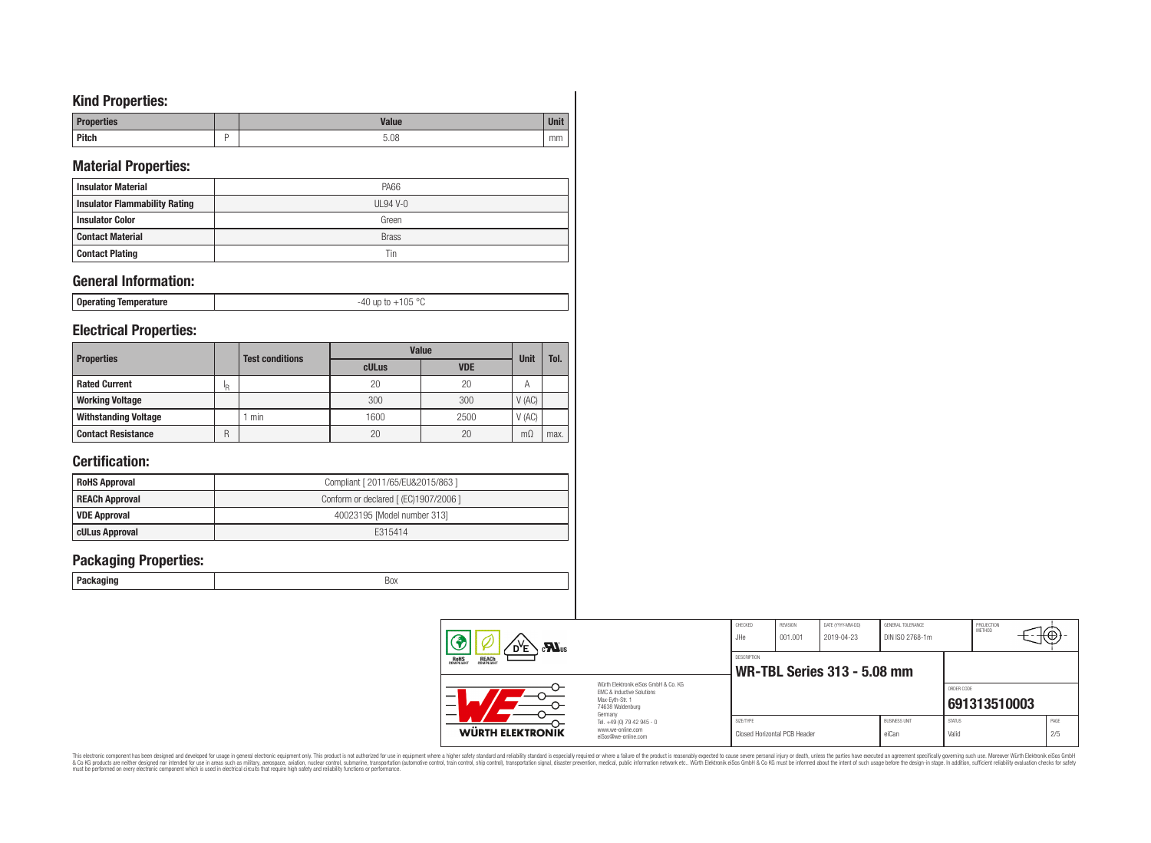# **Kind Properties:**

| Duon<br>แบร  | Volun |    |
|--------------|-------|----|
| <b>Pitch</b> | 5.08  | mm |

# **Material Properties:**

| <b>Insulator Material</b>            | <b>PA66</b>  |
|--------------------------------------|--------------|
| <b>Insulator Flammability Rating</b> | $UL94$ V-0   |
| <b>Insulator Color</b>               | Green        |
| <b>Contact Material</b>              | <b>Brass</b> |
| <b>Contact Plating</b>               | Tin          |

# **General Information:**

| Operating Temperature | $105$ °C<br>$\mathsf{U} \mathsf{D}$<br>$+\circ$ |
|-----------------------|-------------------------------------------------|
|-----------------------|-------------------------------------------------|

## **Electrical Properties:**

| <b>Properties</b>           |    | <b>Test conditions</b> | <b>Value</b> | Unit       | Tol.  |      |
|-----------------------------|----|------------------------|--------------|------------|-------|------|
|                             |    |                        | cULus        | <b>VDE</b> |       |      |
| <b>Rated Current</b>        | ΙR |                        | 20           | 20         | Α     |      |
| <b>Working Voltage</b>      |    |                        | 300          | 300        | V(AC) |      |
| <b>Withstanding Voltage</b> |    | min                    | 1600         | 2500       | V(AC) |      |
| <b>Contact Resistance</b>   | R  |                        | 20           | 20         | m(    | max. |

# **Certification:**

| <b>RoHS Approval</b>  | Compliant [ 2011/65/EU&2015/863 ]     |
|-----------------------|---------------------------------------|
| <b>REACh Approval</b> | Conform or declared [ (EC)1907/2006 ] |
| VDE Approval          | 40023195 [Model number 313]           |
| cULus Approval        | F315414                               |

## **Packaging Properties:**

| $\mathbf{M}$ <sub>us</sub><br>D <sup>y</sup> e |                                                                                                                                           | CHECKED<br>JHe | REVISION<br>001.001          | DATE (YYYY-MM-DD)<br>2019-04-23    | GENERAL TOLERANCE<br>DIN ISO 2768-1m |                        | PROJECTION<br>METHOD | ι₩          |
|------------------------------------------------|-------------------------------------------------------------------------------------------------------------------------------------------|----------------|------------------------------|------------------------------------|--------------------------------------|------------------------|----------------------|-------------|
| <b>ROHS</b><br><b>REACH</b><br>COMPLIANT       | Würth Elektronik eiSos GmbH & Co. KG<br>EMC & Inductive Solutions<br>-<br>Max-Eyth-Str. 1<br>$\overline{\phantom{0}}$<br>74638 Waldenburg |                |                              | <b>WR-TBL Series 313 - 5.08 mm</b> |                                      |                        |                      |             |
|                                                |                                                                                                                                           |                |                              |                                    |                                      | ORDER CODE             | 691313510003         |             |
| <b>WÜRTH ELEKTRONIK</b>                        | Germany<br>Tel. +49 (0) 79 42 945 - 0<br>www.we-online.com<br>eiSos@we-online.com                                                         | SIZE/TYPE      | Closed Horizontal PCB Header |                                    | <b>BUSINESS UNIT</b><br>eiCan        | <b>STATUS</b><br>Valid |                      | PAGE<br>2/5 |

This electronic component has been designed and developed for usage in general electronic equipment only. This product is not authorized for subserved requipment where a higher selection equipment where a higher selection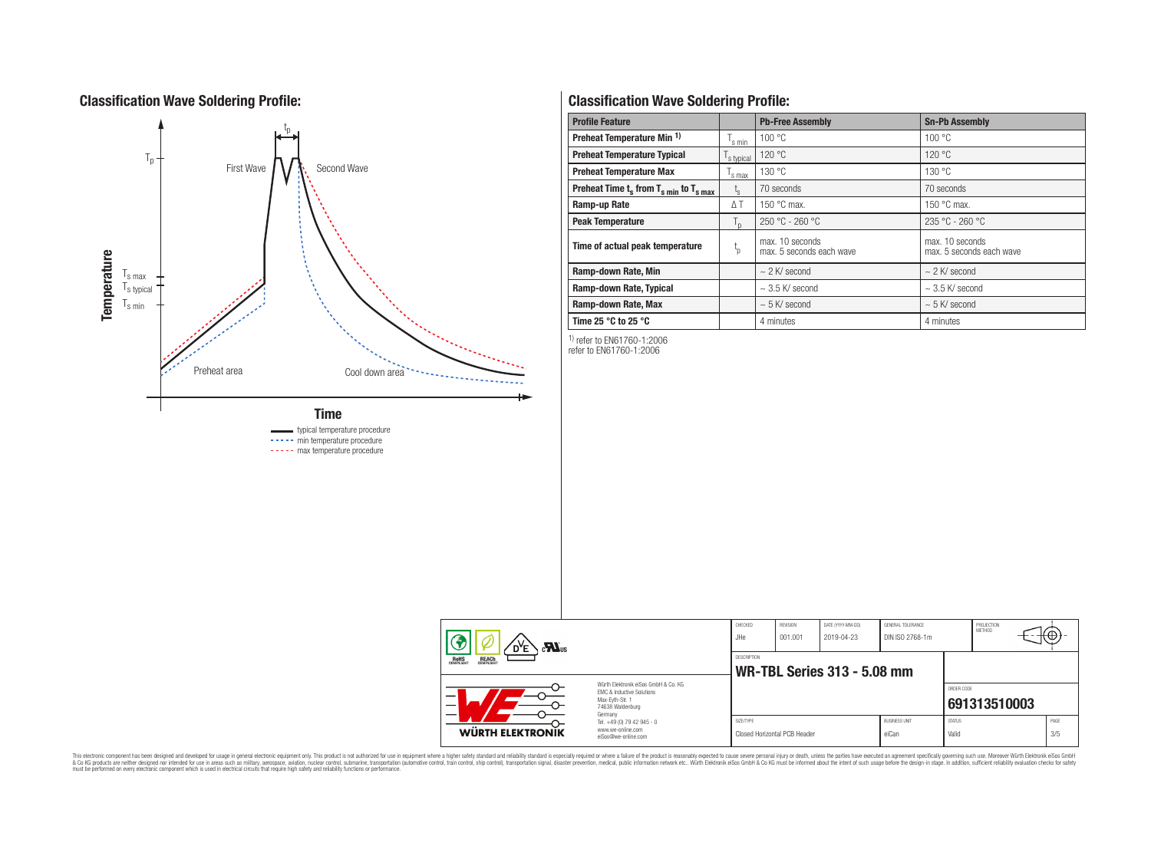# **Classification Wave Soldering Profile:**



----- min temperature procedure

----- max temperature procedure

# **Classification Wave Soldering Profile:**

| <b>Profile Feature</b>                             |                | <b>Pb-Free Assembly</b>                     | <b>Sn-Pb Assembly</b>                       |  |  |
|----------------------------------------------------|----------------|---------------------------------------------|---------------------------------------------|--|--|
| Preheat Temperature Min <sup>1)</sup>              | s min          | 100 °C                                      | 100 °C                                      |  |  |
| <b>Preheat Temperature Typical</b>                 | s typical      | 120 °C                                      | 120 °C                                      |  |  |
| <b>Preheat Temperature Max</b>                     | 's max         | 130 °C                                      | 130 °C                                      |  |  |
| Preheat Time $t_s$ from $T_{s min}$ to $T_{s max}$ | t <sub>s</sub> | 70 seconds                                  | 70 seconds                                  |  |  |
| Ramp-up Rate                                       | $\Delta T$     | 150 °C max.                                 | 150 $\degree$ C max.                        |  |  |
| <b>Peak Temperature</b>                            | $T_{n}$        | $250 °C - 260 °C$                           | $235 °C - 260 °C$                           |  |  |
| Time of actual peak temperature                    | ιp             | max. 10 seconds<br>max. 5 seconds each wave | max. 10 seconds<br>max. 5 seconds each wave |  |  |
| Ramp-down Rate, Min                                |                | $\sim$ 2 K/ second                          | $\sim$ 2 K/ second                          |  |  |
| Ramp-down Rate, Typical                            |                | $\sim$ 3.5 K/ second                        | $\sim$ 3.5 K/ second                        |  |  |
| Ramp-down Rate, Max                                |                | $\sim$ 5 K/ second                          | $\sim$ 5 K/ second                          |  |  |
| Time 25 $^{\circ}$ C to 25 $^{\circ}$ C            |                | 4 minutes                                   | 4 minutes                                   |  |  |

1) refer to EN61760-1:2006

refer to EN61760-1:2006

| $\sum_{\mathbf{u}}$                                                                                                |                                                                                   | CHECKED<br>JHe | REVISION<br>001.001          | DATE (YYYY-MM-DD)<br>2019-04-23 | GENERAL TOLERANCE<br>DIN ISO 2768-1m |                        | PROJECTION<br>METHOD |  | tΨ          |
|--------------------------------------------------------------------------------------------------------------------|-----------------------------------------------------------------------------------|----------------|------------------------------|---------------------------------|--------------------------------------|------------------------|----------------------|--|-------------|
| <b>ROHS</b><br>REACH                                                                                               |                                                                                   | DESCRIPTION    |                              | WR-TBL Series 313 - 5.08 mm     |                                      |                        |                      |  |             |
| Würth Elektronik eiSos GmbH & Co. KG<br>EMC & Inductive Solutions<br>–<br>Max-Evth-Str. 1<br>_<br>74638 Waldenburg |                                                                                   |                |                              |                                 |                                      | ORDER CODE             | 691313510003         |  |             |
| <b>WÜRTH ELEKTRONIK</b>                                                                                            | Germany<br>Tel. +49 (0) 79 42 945 - 0<br>www.we-online.com<br>eiSos@we-online.com | SIZE/TYPE      | Closed Horizontal PCB Header |                                 | <b>BUSINESS UNIT</b><br>eiCan        | <b>STATUS</b><br>Valid |                      |  | PAGE<br>3/5 |

This electronic component has been designed and developed for usage in general electronic equipment only. This product is not authorized for subserved requipment where a higher selection equipment where a higher selection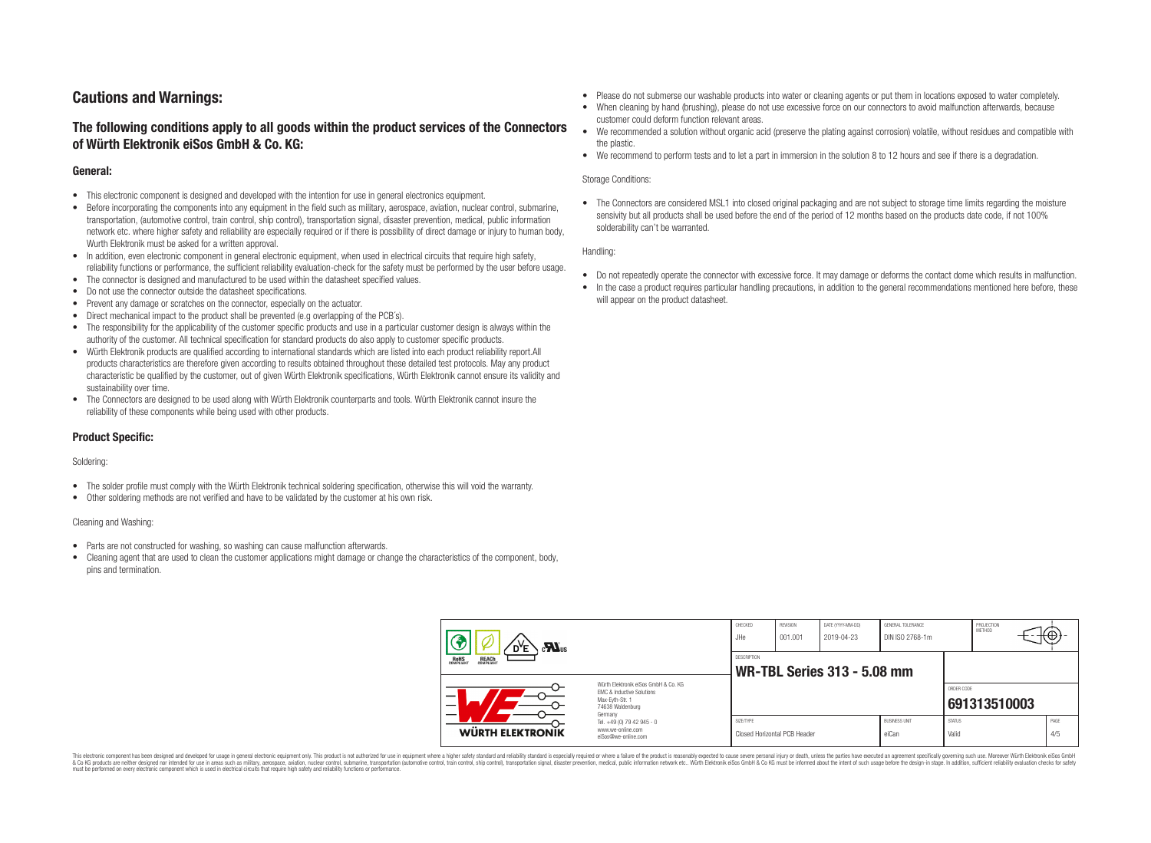# **Cautions and Warnings:**

## **The following conditions apply to all goods within the product services of the Connectors of Würth Elektronik eiSos GmbH & Co. KG:**

### **General:**

- This electronic component is designed and developed with the intention for use in general electronics equipment.
- Before incorporating the components into any equipment in the field such as military, aerospace, aviation, nuclear control, submarine, transportation, (automotive control, train control, ship control), transportation signal, disaster prevention, medical, public information network etc. where higher safety and reliability are especially required or if there is possibility of direct damage or injury to human body, Wurth Elektronik must be asked for a written approval.
- In addition, even electronic component in general electronic equipment, when used in electrical circuits that require high safety, reliability functions or performance, the sufficient reliability evaluation-check for the safety must be performed by the user before usage.
- The connector is designed and manufactured to be used within the datasheet specified values.
- Do not use the connector outside the datasheet specifications.
- Prevent any damage or scratches on the connector, especially on the actuator.
- Direct mechanical impact to the product shall be prevented (e.g overlapping of the PCB's).
- The responsibility for the applicability of the customer specific products and use in a particular customer design is always within the authority of the customer. All technical specification for standard products do also apply to customer specific products.
- Würth Elektronik products are qualified according to international standards which are listed into each product reliability report.All products characteristics are therefore given according to results obtained throughout these detailed test protocols. May any product characteristic be qualified by the customer, out of given Würth Elektronik specifications, Würth Elektronik cannot ensure its validity and sustainability over time.
- The Connectors are designed to be used along with Würth Elektronik counterparts and tools. Würth Elektronik cannot insure the reliability of these components while being used with other products.

### **Product Specific:**

#### Soldering:

- The solder profile must comply with the Würth Elektronik technical soldering specification, otherwise this will void the warranty.
- Other soldering methods are not verified and have to be validated by the customer at his own risk.

#### Cleaning and Washing:

- Parts are not constructed for washing, so washing can cause malfunction afterwards.
- Cleaning agent that are used to clean the customer applications might damage or change the characteristics of the component, body, pins and termination.
- Please do not submerse our washable products into water or cleaning agents or put them in locations exposed to water completely.
- When cleaning by hand (brushing), please do not use excessive force on our connectors to avoid malfunction afterwards, because customer could deform function relevant areas.
- We recommended a solution without organic acid (preserve the plating against corrosion) volatile, without residues and compatible with the plastic.
- We recommend to perform tests and to let a part in immersion in the solution 8 to 12 hours and see if there is a degradation.

#### Storage Conditions:

• The Connectors are considered MSL1 into closed original packaging and are not subject to storage time limits regarding the moisture sensivity but all products shall be used before the end of the period of 12 months based on the products date code, if not 100% solderability can't be warranted.

#### Handling:

- Do not repeatedly operate the connector with excessive force. It may damage or deforms the contact dome which results in malfunction.
- In the case a product requires particular handling precautions, in addition to the general recommendations mentioned here before, these will appear on the product datasheet.

| $\mathbf{M}$ us<br>Έ                           |                                                                                                                     | CHECKED<br>JHe     | REVISION<br>001.001          | DATE (YYYY-MM-DD)<br>2019-04-23    | GENERAL TOLERANCE<br>DIN ISO 2768-1m |                        | PROJECTION<br><b>METHOD</b> | ιťΨ         |
|------------------------------------------------|---------------------------------------------------------------------------------------------------------------------|--------------------|------------------------------|------------------------------------|--------------------------------------|------------------------|-----------------------------|-------------|
| <b>REACH</b><br>COMPLIANT<br>ROHS<br>COMPLIANT |                                                                                                                     | <b>DESCRIPTION</b> |                              | <b>WR-TBL Series 313 - 5.08 mm</b> |                                      |                        |                             |             |
|                                                | Würth Flektronik eiSos GmbH & Co. KG<br>EMC & Inductive Solutions<br>Max-Evth-Str. 1<br>74638 Waldenburg<br>Germany |                    |                              |                                    |                                      | ORDER CODE             | 691313510003                |             |
| <b>WÜRTH ELEKTRONIK</b>                        | Tel. +49 (0) 79 42 945 - 0<br>www.we-online.com<br>eiSos@we-online.com                                              | SIZE/TYPE          | Closed Horizontal PCB Header |                                    | <b>BUSINESS UNIT</b><br>eiCan        | <b>STATUS</b><br>Valid |                             | PAGE<br>4/5 |

This electronic component has been designed and developed for usage in general electronic equipment only. This product is not authorized for use in equipment where a higher safety standard and reliability standard si espec & Ook product a label and the membed of the seasuch as marked and as which such a membed and the such assume that income in the seasuch and the simulation and the such assume that include to the such a membed and the such